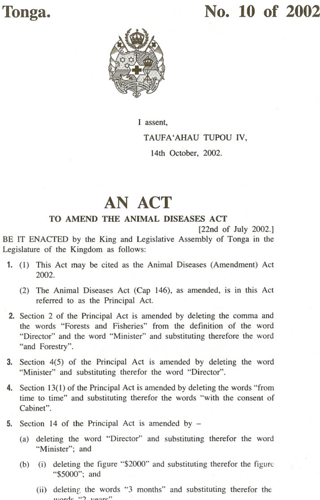## **Tonga. No. 10 of** 2002,



I assent,

TAUFA'AHAU TUPOU IV,

14th October, 2002.

## **AN ACT**

## TO AMEND THE ANIMAL DISEASES ACT

BE IT ENACTED by the King and Legislative Assembly of Tonga in the Legislature of the Kingdom as follows:

- 1. (1) This Act may be cited as the Animal Diseases (Amendment) Act 2002.
	- (2) The Animal Diseases Act (Cap 146), as amended, is in this Act referred to as the Principal Act.
- 2. Section 2 of the Principal Act is amended by deleting the comma and the words "Forests and Fisheries" from the definition of the word "Director" and the word "Minister" and substituting therefore the word "and Forestry".
- 3. Section 4(5) of the Principal Act is amended by deleting the word "Minister" and substituting therefor the word "Director".
- 4. Section 13(1) of the Principal Act is amended by deleting the words "from time to time" and substituting therefor the words "with the consent of Cabinet".
- 5. Section <sup>14</sup> of the Principal Act is amended by
	- (a) deleting the word "Director" and substituting therefor the word "Minister": and
	- (b) (i) deleting the figure "\$2000" and substituting therefor the figure "\$5000"; and
		- (ii) deleting the words "3 months" and substituting therefor the  $v^2$

<sup>[22</sup>nd of July 2002.]